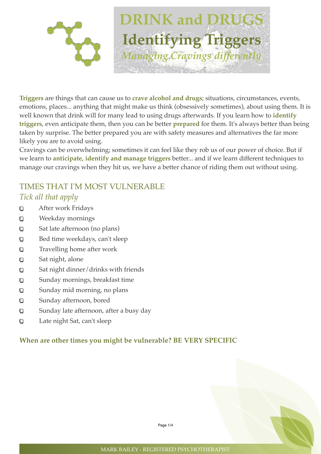

**Triggers** are things that can cause us to **crave alcohol and drugs**; situations, circumstances, events, emotions, places... anything that might make us think (obsessively sometimes), about using them. It is well known that drink will for many lead to using drugs afterwards. If you learn how to **identify triggers**, even anticipate them, then you can be better **prepared** for them. It's always better than being taken by surprise. The better prepared you are with safety measures and alternatives the far more likely you are to avoid using.

Cravings can be overwhelming; sometimes it can feel like they rob us of our power of choice. But if we learn to **anticipate, identify and manage triggers** better... and if we learn different techniques to manage our cravings when they hit us, we have a better chance of riding them out without using.

### TIMES THAT I'M MOST VULNERABLE *Tick all that apply*

- After work Fridays O
- Weekday mornings O
- $\Box$ Sat late afternoon (no plans)
- Bed time weekdays, can't sleep O
- Travelling home after work O
- $\Box$ Sat night, alone
- Sat night dinner/drinks with friends  $\Box$
- Sunday mornings, breakfast time  $\Box$
- $\Box$ Sunday mid morning, no plans
- Sunday afternoon, bored O
- $\Box$ Sunday late afternoon, after a busy day
- $\Box$ Late night Sat, can't sleep

#### **When are other times you might be vulnerable? BE VERY SPECIFIC**

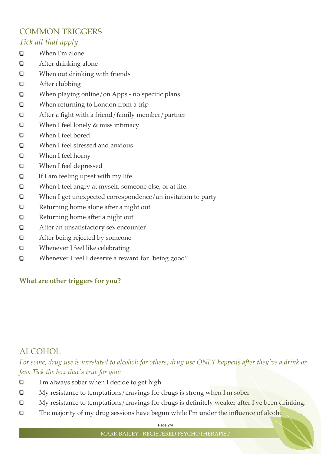# COMMON TRIGGERS *Tick all that apply*

- O When I'm alone
- O After drinking alone
- When out drinking with friends O
- After clubbing O
- When playing online/on Apps no specific plans O
- When returning to London from a trip O
- O After a fight with a friend/family member/partner
- O When I feel lonely & miss intimacy
- $\Box$ When I feel bored
- $\Box$ When I feel stressed and anxious
- O When I feel horny
- O When I feel depressed
- If I am feeling upset with my life O
- O When I feel angry at myself, someone else, or at life.
- When I get unexpected correspondence/an invitation to party O
- Returning home alone after a night out O
- Returning home after a night out O
- $\Box$ After an unsatisfactory sex encounter
- O After being rejected by someone
- O Whenever I feel like celebrating
- $\Box$ Whenever I feel I deserve a reward for "being good"

### **What are other triggers for you?**

### ALCOHOL

*For some, drug use is unrelated to alcohol; for others, drug use ONLY happens after they've a drink or few. Tick the box that's true for you:*

- I'm always sober when I decide to get high O
- My resistance to temptations/cravings for drugs is strong when I'm sober O
- O My resistance to temptations/cravings for drugs is definitely weaker after I've been drinking.
- The majority of my drug sessions have begun while I'm under the influence of alcohold O

Page 2/4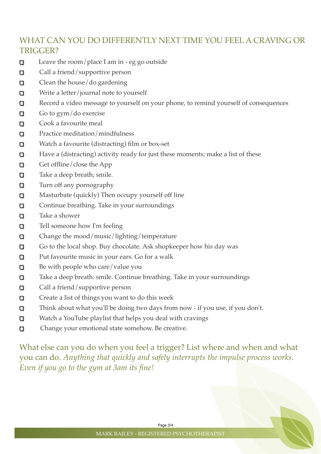# WHAT CAN YOU DO DIFFERENTLY NEXT TIME YOU FEEL A CRAVING OR TRIGGER?

- α Leave the room/place I am in - eg go outside
- **Call a friend/supportive person**
- . Clean the house/do gardening
- $\Box$ Write a letter/journal note to yourself
- Record a video message to yourself on your phone, to remind yourself of consequences α
- Go to gym/do exercise O
- Cook a favourite meal о
- Practice meditation/mindfulness α
- 0 Watch a favourite (distracting) film or box-set
- Have a (distracting) activity ready for just these moments; make a list of these о
- Get offline/close the App o
- Take a deep breath; smile. 0
- Turn off any pornography O
- Masturbate (quickly) Then occupy yourself off line п
- Continue breathing. Take in your surroundings п
- Take a shower Ω.
- 0 Tell someone how I'm feeling
- Change the mood/music/lighting/temperature o
- Go to the local shop. Buy chocolate. Ask shopkeeper how his day was п
- Put favourite music in your ears. Go for a walk о
- Be with people who care/value you α
- Take a deep breath: smile. Continue breathing. Take in your surroundings α
- п Call a friend/supportive person
- Create a list of things you want to do this week o
- Think about what you'll be doing two days from now if you use, if you don't. O
- Watch a YouTube playlist that helps you deal with cravings .
- Ω Change your emotional state somehow. Be creative.

What else can you do when you feel a trigger? List where and when and what you can do. *Anything that quickly and safely interrupts the impulse process works. Even if you go to the gym at 3am its fine!*